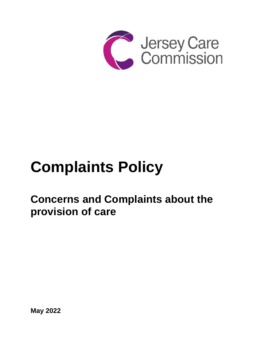

# **Complaints Policy**

# **Concerns and Complaints about the provision of care**

**May 2022**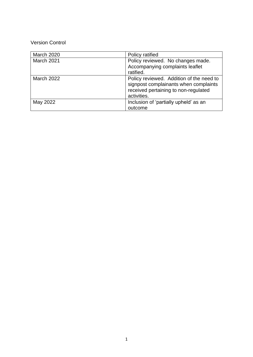# Version Control

| <b>March 2020</b> | Policy ratified                                                                                                                          |
|-------------------|------------------------------------------------------------------------------------------------------------------------------------------|
| March 2021        | Policy reviewed. No changes made.<br>Accompanying complaints leaflet<br>ratified.                                                        |
| March 2022        | Policy reviewed. Addition of the need to<br>signpost complainants when complaints<br>received pertaining to non-regulated<br>activities. |
| May 2022          | Inclusion of 'partially upheld' as an<br>outcome                                                                                         |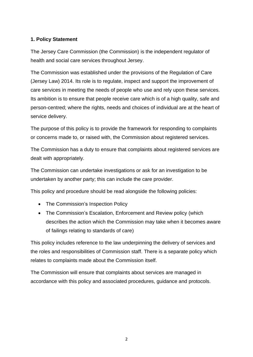# **1. Policy Statement**

The Jersey Care Commission (the Commission) is the independent regulator of health and social care services throughout Jersey.

The Commission was established under the provisions of the Regulation of Care (Jersey Law) 2014. Its role is to regulate, inspect and support the improvement of care services in meeting the needs of people who use and rely upon these services. Its ambition is to ensure that people receive care which is of a high quality, safe and person-centred; where the rights, needs and choices of individual are at the heart of service delivery.

The purpose of this policy is to provide the framework for responding to complaints or concerns made to, or raised with, the Commission about registered services.

The Commission has a duty to ensure that complaints about registered services are dealt with appropriately.

The Commission can undertake investigations or ask for an investigation to be undertaken by another party; this can include the care provider.

This policy and procedure should be read alongside the following policies:

- The Commission's Inspection Policy
- The Commission's Escalation, Enforcement and Review policy (which describes the action which the Commission may take when it becomes aware of failings relating to standards of care)

This policy includes reference to the law underpinning the delivery of services and the roles and responsibilities of Commission staff. There is a separate policy which relates to complaints made about the Commission itself.

The Commission will ensure that complaints about services are managed in accordance with this policy and associated procedures, guidance and protocols.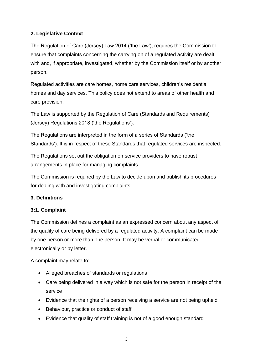# **2. Legislative Context**

The Regulation of Care (Jersey) Law 2014 ('the Law'), requires the Commission to ensure that complaints concerning the carrying on of a regulated activity are dealt with and, if appropriate, investigated, whether by the Commission itself or by another person.

Regulated activities are care homes, home care services, children's residential homes and day services. This policy does not extend to areas of other health and care provision.

The Law is supported by the Regulation of Care (Standards and Requirements) (Jersey) Regulations 2018 ('the Regulations').

The Regulations are interpreted in the form of a series of Standards ('the Standards'). It is in respect of these Standards that regulated services are inspected.

The Regulations set out the obligation on service providers to have robust arrangements in place for managing complaints.

The Commission is required by the Law to decide upon and publish its procedures for dealing with and investigating complaints.

# **3. Definitions**

## **3:1. Complaint**

The Commission defines a complaint as an expressed concern about any aspect of the quality of care being delivered by a regulated activity. A complaint can be made by one person or more than one person. It may be verbal or communicated electronically or by letter.

A complaint may relate to:

- Alleged breaches of standards or regulations
- Care being delivered in a way which is not safe for the person in receipt of the service
- Evidence that the rights of a person receiving a service are not being upheld
- Behaviour, practice or conduct of staff
- Evidence that quality of staff training is not of a good enough standard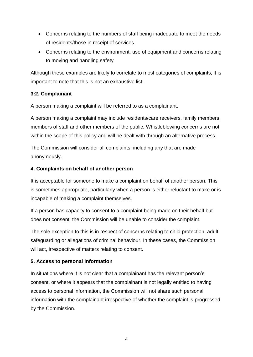- Concerns relating to the numbers of staff being inadequate to meet the needs of residents/those in receipt of services
- Concerns relating to the environment; use of equipment and concerns relating to moving and handling safety

Although these examples are likely to correlate to most categories of complaints, it is important to note that this is not an exhaustive list.

# **3:2. Complainant**

A person making a complaint will be referred to as a complainant.

A person making a complaint may include residents/care receivers, family members, members of staff and other members of the public. Whistleblowing concerns are not within the scope of this policy and will be dealt with through an alternative process.

The Commission will consider all complaints, including any that are made anonymously.

# **4. Complaints on behalf of another person**

It is acceptable for someone to make a complaint on behalf of another person. This is sometimes appropriate, particularly when a person is either reluctant to make or is incapable of making a complaint themselves.

If a person has capacity to consent to a complaint being made on their behalf but does not consent, the Commission will be unable to consider the complaint.

The sole exception to this is in respect of concerns relating to child protection, adult safeguarding or allegations of criminal behaviour. In these cases, the Commission will act, irrespective of matters relating to consent.

# **5. Access to personal information**

In situations where it is not clear that a complainant has the relevant person's consent, or where it appears that the complainant is not legally entitled to having access to personal information, the Commission will not share such personal information with the complainant irrespective of whether the complaint is progressed by the Commission.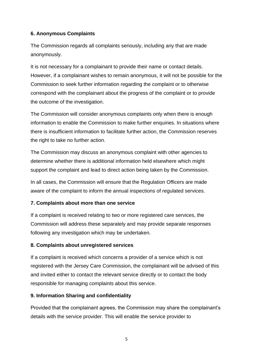# **6. Anonymous Complaints**

The Commission regards all complaints seriously, including any that are made anonymously.

It is not necessary for a complainant to provide their name or contact details. However, if a complainant wishes to remain anonymous, it will not be possible for the Commission to seek further information regarding the complaint or to otherwise correspond with the complainant about the progress of the complaint or to provide the outcome of the investigation.

The Commission will consider anonymous complaints only when there is enough information to enable the Commission to make further enquiries. In situations where there is insufficient information to facilitate further action, the Commission reserves the right to take no further action.

The Commission may discuss an anonymous complaint with other agencies to determine whether there is additional information held elsewhere which might support the complaint and lead to direct action being taken by the Commission.

In all cases, the Commission will ensure that the Regulation Officers are made aware of the complaint to inform the annual inspections of regulated services.

## **7. Complaints about more than one service**

If a complaint is received relating to two or more registered care services, the Commission will address these separately and may provide separate responses following any investigation which may be undertaken.

## **8. Complaints about unregistered services**

If a complaint is received which concerns a provider of a service which is not registered with the Jersey Care Commission, the complainant will be advised of this and invited either to contact the relevant service directly or to contact the body responsible for managing complaints about this service.

## **9. Information Sharing and confidentiality**

Provided that the complainant agrees, the Commission may share the complainant's details with the service provider. This will enable the service provider to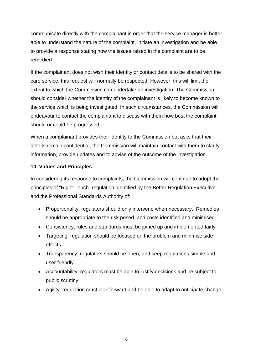communicate directly with the complainant in order that the service manager is better able to understand the nature of the complaint, initiate an investigation and be able to provide a response stating how the issues raised in the complaint are to be remedied.

If the complainant does not wish their identity or contact details to be shared with the care service, this request will normally be respected. However, this will limit the extent to which the Commission can undertake an investigation. The Commission should consider whether the identity of the complainant is likely to become known to the service which is being investigated. In such circumstances, the Commission will endeavour to contact the complainant to discuss with them how best the complaint should or could be progressed.

When a complainant provides their identity to the Commission but asks that their details remain confidential, the Commission will maintain contact with them to clarify information, provide updates and to advise of the outcome of the investigation.

## **10. Values and Principles**

In considering its response to complaints, the Commission will continue to adopt the principles of "Right-Touch" regulation identified by the Better Regulation Executive and the Professional Standards Authority of:

- Proportionality: regulators should only intervene when necessary. Remedies should be appropriate to the risk posed, and costs identified and minimised
- Consistency: rules and standards must be joined up and implemented fairly
- Targeting: regulation should be focused on the problem and minimise side effects
- Transparency: regulators should be open, and keep regulations simple and user friendly
- Accountability: regulators must be able to justify decisions and be subject to public scrutiny
- Agility: regulation must look forward and be able to adapt to anticipate change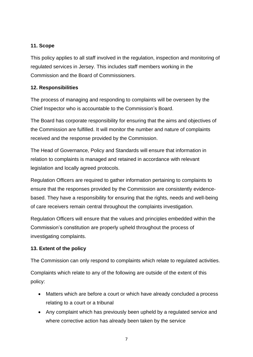# **11. Scope**

This policy applies to all staff involved in the regulation, inspection and monitoring of regulated services in Jersey. This includes staff members working in the Commission and the Board of Commissioners.

# **12. Responsibilities**

The process of managing and responding to complaints will be overseen by the Chief Inspector who is accountable to the Commission's Board.

The Board has corporate responsibility for ensuring that the aims and objectives of the Commission are fulfilled. It will monitor the number and nature of complaints received and the response provided by the Commission.

The Head of Governance, Policy and Standards will ensure that information in relation to complaints is managed and retained in accordance with relevant legislation and locally agreed protocols.

Regulation Officers are required to gather information pertaining to complaints to ensure that the responses provided by the Commission are consistently evidencebased. They have a responsibility for ensuring that the rights, needs and well-being of care receivers remain central throughout the complaints investigation.

Regulation Officers will ensure that the values and principles embedded within the Commission's constitution are properly upheld throughout the process of investigating complaints.

# **13. Extent of the policy**

The Commission can only respond to complaints which relate to regulated activities.

Complaints which relate to any of the following are outside of the extent of this policy:

- Matters which are before a court or which have already concluded a process relating to a court or a tribunal
- Any complaint which has previously been upheld by a regulated service and where corrective action has already been taken by the service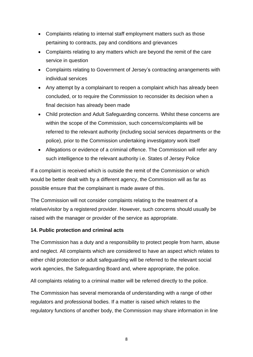- Complaints relating to internal staff employment matters such as those pertaining to contracts, pay and conditions and grievances
- Complaints relating to any matters which are beyond the remit of the care service in question
- Complaints relating to Government of Jersey's contracting arrangements with individual services
- Any attempt by a complainant to reopen a complaint which has already been concluded, or to require the Commission to reconsider its decision when a final decision has already been made
- Child protection and Adult Safeguarding concerns. Whilst these concerns are within the scope of the Commission, such concerns/complaints will be referred to the relevant authority (including social services departments or the police), prior to the Commission undertaking investigatory work itself
- Allegations or evidence of a criminal offence. The Commission will refer any such intelligence to the relevant authority i.e. States of Jersey Police

If a complaint is received which is outside the remit of the Commission or which would be better dealt with by a different agency, the Commission will as far as possible ensure that the complainant is made aware of this.

The Commission will not consider complaints relating to the treatment of a relative/visitor by a registered provider. However, such concerns should usually be raised with the manager or provider of the service as appropriate.

## **14. Public protection and criminal acts**

The Commission has a duty and a responsibility to protect people from harm, abuse and neglect. All complaints which are considered to have an aspect which relates to either child protection or adult safeguarding will be referred to the relevant social work agencies, the Safeguarding Board and, where appropriate, the police.

All complaints relating to a criminal matter will be referred directly to the police.

The Commission has several memoranda of understanding with a range of other regulators and professional bodies. If a matter is raised which relates to the regulatory functions of another body, the Commission may share information in line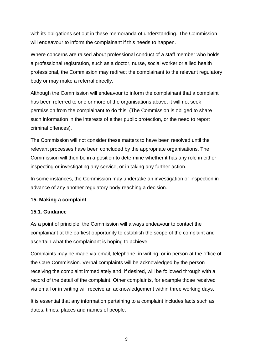with its obligations set out in these memoranda of understanding. The Commission will endeavour to inform the complainant if this needs to happen.

Where concerns are raised about professional conduct of a staff member who holds a professional registration, such as a doctor, nurse, social worker or allied health professional, the Commission may redirect the complainant to the relevant regulatory body or may make a referral directly.

Although the Commission will endeavour to inform the complainant that a complaint has been referred to one or more of the organisations above, it will not seek permission from the complainant to do this. (The Commission is obliged to share such information in the interests of either public protection, or the need to report criminal offences).

The Commission will not consider these matters to have been resolved until the relevant processes have been concluded by the appropriate organisations. The Commission will then be in a position to determine whether it has any role in either inspecting or investigating any service, or in taking any further action.

In some instances, the Commission may undertake an investigation or inspection in advance of any another regulatory body reaching a decision.

## **15. Making a complaint**

#### **15.1. Guidance**

As a point of principle, the Commission will always endeavour to contact the complainant at the earliest opportunity to establish the scope of the complaint and ascertain what the complainant is hoping to achieve.

Complaints may be made via email, telephone, in writing, or in person at the office of the Care Commission. Verbal complaints will be acknowledged by the person receiving the complaint immediately and, if desired, will be followed through with a record of the detail of the complaint. Other complaints, for example those received via email or in writing will receive an acknowledgement within three working days.

It is essential that any information pertaining to a complaint includes facts such as dates, times, places and names of people.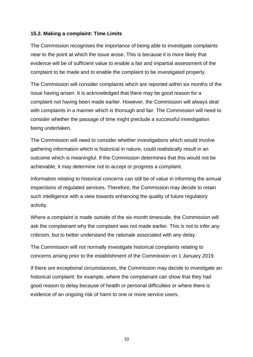#### **15.2. Making a complaint: Time Limits**

The Commission recognises the importance of being able to investigate complaints near to the point at which the issue arose. This is because it is more likely that evidence will be of sufficient value to enable a fair and impartial assessment of the complaint to be made and to enable the complaint to be investigated properly.

The Commission will consider complaints which are reported within six months of the issue having arisen. It is acknowledged that there may be good reason for a complaint not having been made earlier. However, the Commission will always deal with complaints in a manner which is thorough and fair. The Commission will need to consider whether the passage of time might preclude a successful investigation being undertaken.

The Commission will need to consider whether investigations which would involve gathering information which is historical in nature, could realistically result in an outcome which is meaningful. If the Commission determines that this would not be achievable, it may determine not to accept or progress a complaint.

Information relating to historical concerns can still be of value in informing the annual inspections of regulated services. Therefore, the Commission may decide to retain such intelligence with a view towards enhancing the quality of future regulatory activity.

Where a complaint is made outside of the six-month timescale, the Commission will ask the complainant why the complaint was not made earlier. This is not to infer any criticism, but to better understand the rationale associated with any delay.

The Commission will not normally investigate historical complaints relating to concerns arising prior to the establishment of the Commission on 1 January 2019.

If there are exceptional circumstances, the Commission may decide to investigate an historical complaint: for example, where the complainant can show that they had good reason to delay because of health or personal difficulties or where there is evidence of an ongoing risk of harm to one or more service users.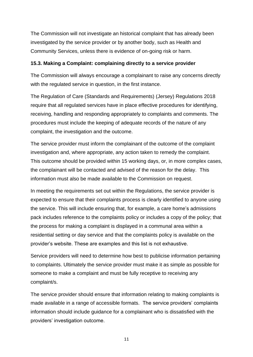The Commission will not investigate an historical complaint that has already been investigated by the service provider or by another body, such as Health and Community Services, unless there is evidence of on-going risk or harm.

#### **15.3. Making a Complaint: complaining directly to a service provider**

The Commission will always encourage a complainant to raise any concerns directly with the regulated service in question, in the first instance.

The Regulation of Care (Standards and Requirements) (Jersey) Regulations 2018 require that all regulated services have in place effective procedures for identifying, receiving, handling and responding appropriately to complaints and comments. The procedures must include the keeping of adequate records of the nature of any complaint, the investigation and the outcome.

The service provider must inform the complainant of the outcome of the complaint investigation and, where appropriate, any action taken to remedy the complaint. This outcome should be provided within 15 working days, or, in more complex cases, the complainant will be contacted and advised of the reason for the delay. This information must also be made available to the Commission on request.

In meeting the requirements set out within the Regulations, the service provider is expected to ensure that their complaints process is clearly identified to anyone using the service. This will include ensuring that, for example, a care home's admissions pack includes reference to the complaints policy or includes a copy of the policy; that the process for making a complaint is displayed in a communal area within a residential setting or day service and that the complaints policy is available on the provider's website. These are examples and this list is not exhaustive.

Service providers will need to determine how best to publicise information pertaining to complaints. Ultimately the service provider must make it as simple as possible for someone to make a complaint and must be fully receptive to receiving any complaint/s.

The service provider should ensure that information relating to making complaints is made available in a range of accessible formats. The service providers' complaints information should include guidance for a complainant who is dissatisfied with the providers' investigation outcome.

11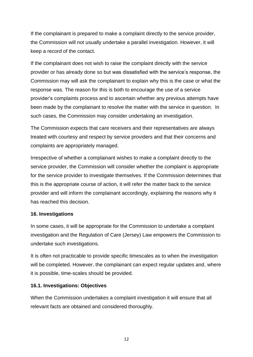If the complainant is prepared to make a complaint directly to the service provider, the Commission will not usually undertake a parallel investigation. However, it will keep a record of the contact.

If the complainant does not wish to raise the complaint directly with the service provider or has already done so but was dissatisfied with the service's response, the Commission may will ask the complainant to explain why this is the case or what the response was. The reason for this is both to encourage the use of a service provider's complaints process and to ascertain whether any previous attempts have been made by the complainant to resolve the matter with the service in question. In such cases, the Commission may consider undertaking an investigation.

The Commission expects that care receivers and their representatives are always treated with courtesy and respect by service providers and that their concerns and complaints are appropriately managed.

Irrespective of whether a complainant wishes to make a complaint directly to the service provider, the Commission will consider whether the complaint is appropriate for the service provider to investigate themselves. If the Commission determines that this is the appropriate course of action, it will refer the matter back to the service provider and will inform the complainant accordingly, explaining the reasons why it has reached this decision.

#### **16. Investigations**

In some cases, it will be appropriate for the Commission to undertake a complaint investigation and the Regulation of Care (Jersey) Law empowers the Commission to undertake such investigations.

It is often not practicable to provide specific timescales as to when the investigation will be completed. However, the complainant can expect regular updates and, where it is possible, time-scales should be provided.

#### **16.1. Investigations: Objectives**

When the Commission undertakes a complaint investigation it will ensure that all relevant facts are obtained and considered thoroughly.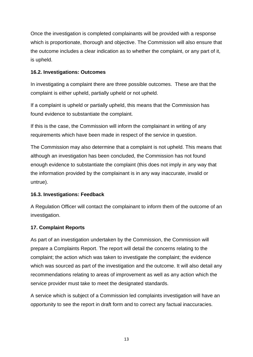Once the investigation is completed complainants will be provided with a response which is proportionate, thorough and objective. The Commission will also ensure that the outcome includes a clear indication as to whether the complaint, or any part of it, is upheld.

# **16.2. Investigations: Outcomes**

In investigating a complaint there are three possible outcomes. These are that the complaint is either upheld, partially upheld or not upheld.

If a complaint is upheld or partially upheld, this means that the Commission has found evidence to substantiate the complaint.

If this is the case, the Commission will inform the complainant in writing of any requirements which have been made in respect of the service in question.

The Commission may also determine that a complaint is not upheld. This means that although an investigation has been concluded, the Commission has not found enough evidence to substantiate the complaint (this does not imply in any way that the information provided by the complainant is in any way inaccurate, invalid or untrue).

## **16.3. Investigations: Feedback**

A Regulation Officer will contact the complainant to inform them of the outcome of an investigation.

## **17. Complaint Reports**

As part of an investigation undertaken by the Commission, the Commission will prepare a Complaints Report. The report will detail the concerns relating to the complaint; the action which was taken to investigate the complaint; the evidence which was sourced as part of the investigation and the outcome. It will also detail any recommendations relating to areas of improvement as well as any action which the service provider must take to meet the designated standards.

A service which is subject of a Commission led complaints investigation will have an opportunity to see the report in draft form and to correct any factual inaccuracies.